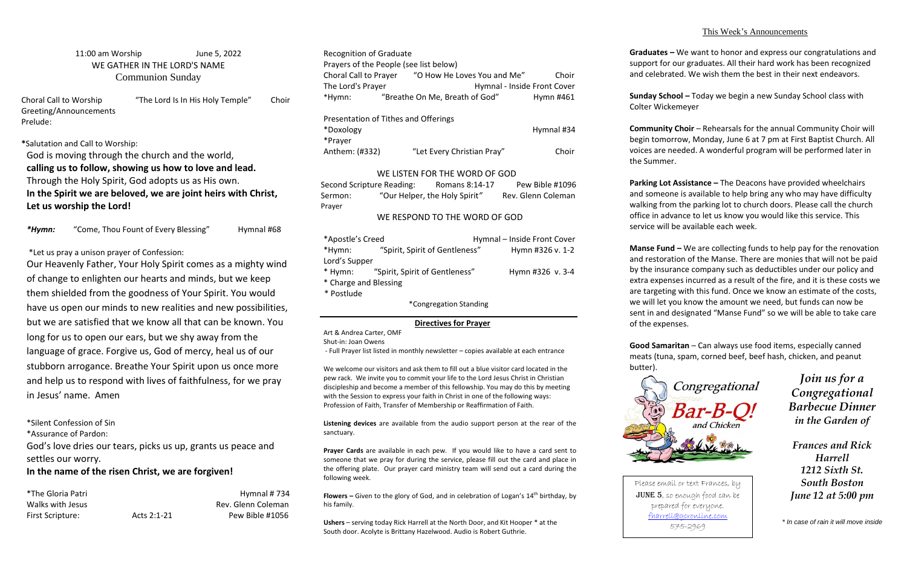## 11:00 am Worship June 5, 2022 WE GATHER IN THE LORD'S NAME Communion Sunday

Choral Call to Worship "The Lord Is In His Holy Temple" Choir Greeting/Announcements Prelude:

**\***Salutation and Call to Worship: God is moving through the church and the world, **calling us to follow, showing us how to love and lead.**  Through the Holy Spirit, God adopts us as His own. **In the Spirit we are beloved, we are joint heirs with Christ, Let us worship the Lord!**

\*Hymn: "Come, Thou Fount of Every Blessing" Hymnal #68

## \*Let us pray a unison prayer of Confession:

Recognition of Graduate Prayers of the People (see list below) Choral Call to Prayer "O How He Loves You and Me" Choir The Lord's Prayer The Lord's Prayer Hymnal - Inside Front Cover \*Hymn: "Breathe On Me, Breath of God" Hymn #461 Presentation of Tithes and Offerings \*Doxology Hymnal #34 \*Prayer Anthem: (#332) "Let Every Christian Pray" Choir WE LISTEN FOR THE WORD OF GOD Second Scripture Reading: Romans 8:14-17 Pew Bible #1096

Our Heavenly Father, Your Holy Spirit comes as a mighty wind of change to enlighten our hearts and minds, but we keep them shielded from the goodness of Your Spirit. You would have us open our minds to new realities and new possibilities, but we are satisfied that we know all that can be known. You long for us to open our ears, but we shy away from the language of grace. Forgive us, God of mercy, heal us of our stubborn arrogance. Breathe Your Spirit upon us once more and help us to respond with lives of faithfulness, for we pray in Jesus' name. Amen

Sermon: "Our Helper, the Holy Spirit" Rev. Glenn Coleman Prayer

\*Silent Confession of Sin

\*Assurance of Pardon:

God's love dries our tears, picks us up, grants us peace and settles our worry.

## **In the name of the risen Christ, we are forgiven!**

| <i>*The Gloria Patri</i> |             | Hymnal #734        |
|--------------------------|-------------|--------------------|
| Walks with Jesus         |             | Rev. Glenn Coleman |
| First Scripture:         | Acts 2:1-21 | Pew Bible #1056    |

**Flowers** – Given to the glory of God, and in celebration of Logan's 14<sup>th</sup> birthday, by his family.

## WE RESPOND TO THE WORD OF GOD

| *Apostle's Creed       |                                        |  | Hymnal - Inside Front Cover |  |
|------------------------|----------------------------------------|--|-----------------------------|--|
| *Hymn:                 | "Spirit, Spirit of Gentleness"         |  | Hymn #326 v. 1-2            |  |
| Lord's Supper          |                                        |  |                             |  |
|                        | * Hymn: "Spirit, Spirit of Gentleness" |  | Hymn #326 v. 3-4            |  |
| * Charge and Blessing  |                                        |  |                             |  |
| * Postlude             |                                        |  |                             |  |
| *Congregation Standing |                                        |  |                             |  |

## **Directives for Prayer**

Art & Andrea Carter, OMF

Shut-in: Joan Owens

- Full Prayer list listed in monthly newsletter – copies available at each entrance

**Manse Fund –** We are collecting funds to help pay for the renovation and restoration of the Manse. There are monies that will not be paid by the insurance company such as deductibles under our policy and extra expenses incurred as a result of the fire, and it is these costs we are targeting with this fund. Once we know an estimate of the costs, we will let you know the amount we need, but funds can now be sent in and designated "Manse Fund" so we will be able to take care

We welcome our visitors and ask them to fill out a blue visitor card located in the pew rack. We invite you to commit your life to the Lord Jesus Christ in Christian discipleship and become a member of this fellowship. You may do this by meeting with the Session to express your faith in Christ in one of the following ways: Profession of Faith, Transfer of Membership or Reaffirmation of Faith.

**Listening devices** are available from the audio support person at the rear of the sanctuary.

**Prayer Cards** are available in each pew. If you would like to have a card sent to someone that we pray for during the service, please fill out the card and place in the offering plate. Our prayer card ministry team will send out a card during the following week.

**Ushers** – serving today Rick Harrell at the North Door, and Kit Hooper \* at the South door. Acolyte is Brittany Hazelwood. Audio is Robert Guthrie.

## This Week's Announcements

**Graduates –** We want to honor and express our congratulations and support for our graduates. All their hard work has been recognized and celebrated. We wish them the best in their next endeavors.

**Sunday School –** Today we begin a new Sunday School class with Colter Wickemeyer

**Community Choir** – Rehearsals for the annual Community Choir will begin tomorrow, Monday, June 6 at 7 pm at First Baptist Church. All voices are needed. A wonderful program will be performed later in the Summer.

**Parking Lot Assistance –** The Deacons have provided wheelchairs and someone is available to help bring any who may have difficulty walking from the parking lot to church doors. Please call the church office in advance to let us know you would like this service. This service will be available each week.

of the expenses.

**Good Samaritan** – Can always use food items, especially canned meats (tuna, spam, corned beef, beef hash, chicken, and peanut

# butter).



*Join us for a Congregational Barbecue Dinner in the Garden of* 

*Frances and Rick Harrell 1212 Sixth St. South Boston June 12 at 5:00 pm*

*\* In case of rain it will move inside*

Please email or text Frances, by JUNE 5, so enough food can be prepared for everyone. [fharrell@gcronline.com](mailto:fharrell@gcronline.com) 575-2969